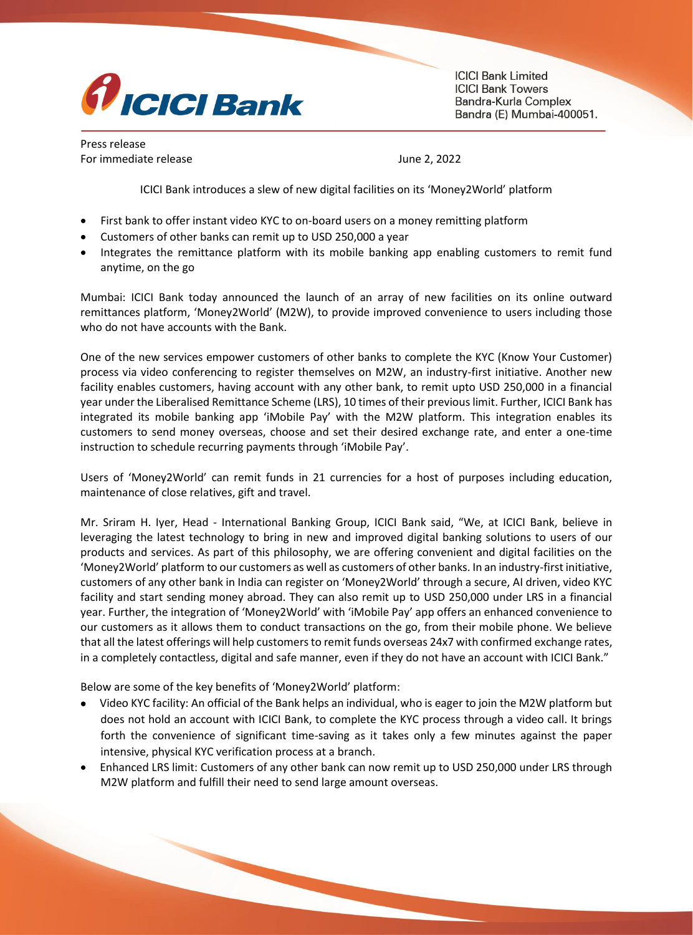

**ICICI Bank Limited ICICI Bank Towers** Bandra-Kurla Complex Bandra (E) Mumbai-400051.

Press release For immediate release June 2, 2022

ICICI Bank introduces a slew of new digital facilities on its 'Money2World' platform

- First bank to offer instant video KYC to on-board users on a money remitting platform
- Customers of other banks can remit up to USD 250,000 a year
- Integrates the remittance platform with its mobile banking app enabling customers to remit fund anytime, on the go

Mumbai: ICICI Bank today announced the launch of an array of new facilities on its online outward remittances platform, 'Money2World' (M2W), to provide improved convenience to users including those who do not have accounts with the Bank.

One of the new services empower customers of other banks to complete the KYC (Know Your Customer) process via video conferencing to register themselves on M2W, an industry-first initiative. Another new facility enables customers, having account with any other bank, to remit upto USD 250,000 in a financial year under the Liberalised Remittance Scheme (LRS), 10 times of their previous limit. Further, ICICI Bank has integrated its mobile banking app 'iMobile Pay' with the M2W platform. This integration enables its customers to send money overseas, choose and set their desired exchange rate, and enter a one-time instruction to schedule recurring payments through 'iMobile Pay'.

Users of 'Money2World' can remit funds in 21 currencies for a host of purposes including education, maintenance of close relatives, gift and travel.

Mr. Sriram H. Iyer, Head - International Banking Group, ICICI Bank said, "We, at ICICI Bank, believe in leveraging the latest technology to bring in new and improved digital banking solutions to users of our products and services. As part of this philosophy, we are offering convenient and digital facilities on the 'Money2World' platform to our customers as well as customers of other banks. In an industry-first initiative, customers of any other bank in India can register on 'Money2World' through a secure, AI driven, video KYC facility and start sending money abroad. They can also remit up to USD 250,000 under LRS in a financial year. Further, the integration of 'Money2World' with 'iMobile Pay' app offers an enhanced convenience to our customers as it allows them to conduct transactions on the go, from their mobile phone. We believe that all the latest offerings will help customers to remit funds overseas 24x7 with confirmed exchange rates, in a completely contactless, digital and safe manner, even if they do not have an account with ICICI Bank."

Below are some of the key benefits of 'Money2World' platform:

- Video KYC facility: An official of the Bank helps an individual, who is eager to join the M2W platform but does not hold an account with ICICI Bank, to complete the KYC process through a video call. It brings forth the convenience of significant time-saving as it takes only a few minutes against the paper intensive, physical KYC verification process at a branch.
- Enhanced LRS limit: Customers of any other bank can now remit up to USD 250,000 under LRS through M2W platform and fulfill their need to send large amount overseas.